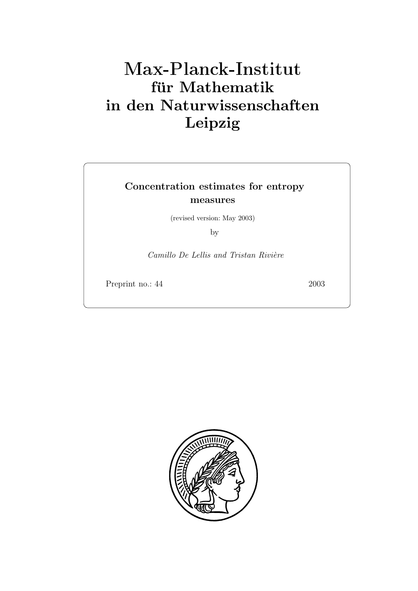# **fur Mathematik ¨ in den Naturwissenschaften Leipzig**

# **Concentration estimates for entropy measures**

(revised version: May 2003)

by

*Camillo De Lellis and Tristan Rivière* 

Preprint no.: 44 2003

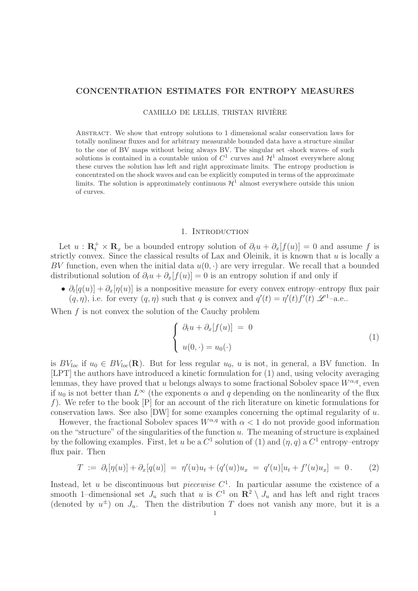# **CONCENTRATION ESTIMATES FOR ENTROPY MEASURES**

CAMILLO DE LELLIS, TRISTAN RIVIERE `

Abstract. We show that entropy solutions to 1 dimensional scalar conservation laws for totally nonlinear fluxes and for arbitrary measurable bounded data have a structure similar to the one of BV maps without being always BV. The singular set -shock waves- of such solutions is contained in a countable union of  $C^1$  curves and  $\mathcal{H}^1$  almost everywhere along these curves the solution has left and right approximate limits. The entropy production is concentrated on the shock waves and can be explicitly computed in terms of the approximate limits. The solution is approximately continuous  $\mathcal{H}^1$  almost everywhere outside this union of curves.

#### 1. INTRODUCTION

Let  $u : \mathbf{R}_t^+ \times \mathbf{R}_x$  be a bounded entropy solution of  $\partial_t u + \partial_x[f(u)] = 0$  and assume f is strictly convex. Since the classical results of Lax and Oleinik, it is known that  $u$  is locally a BV function, even when the initial data  $u(0, \cdot)$  are very irregular. We recall that a bounded distributional solution of  $\partial_t u + \partial_x[f(u)] = 0$  is an entropy solution if and only if

•  $\partial_t[q(u)] + \partial_x[q(u)]$  is a nonpositive measure for every convex entropy–entropy flux pair  $(q, \eta)$ , i.e. for every  $(q, \eta)$  such that q is convex and  $q'(t) = \eta'(t) f'(t) \mathcal{L}^1$ -a.e..

When  $f$  is not convex the solution of the Cauchy problem

$$
\begin{cases}\n\partial_t u + \partial_x[f(u)] = 0 \\
u(0, \cdot) = u_0(\cdot)\n\end{cases} \tag{1}
$$

is  $BV_{loc}$  if  $u_0 \in BV_{loc}(\mathbf{R})$ . But for less regular  $u_0, u$  is not, in general, a BV function. In [LPT] the authors have introduced a kinetic formulation for (1) and, using velocity averaging lemmas, they have proved that u belongs always to some fractional Sobolev space  $W^{\alpha,q}$ , even if  $u_0$  is not better than  $L^{\infty}$  (the exponents  $\alpha$  and q depending on the nonlinearity of the flux f). We refer to the book  $[P]$  for an account of the rich literature on kinetic formulations for conservation laws. See also [DW] for some examples concerning the optimal regularity of u.

However, the fractional Sobolev spaces  $W^{\alpha,q}$  with  $\alpha < 1$  do not provide good information on the "structure" of the singularities of the function  $u$ . The meaning of structure is explained by the following examples. First, let u be a  $C^1$  solution of (1) and  $(\eta, q)$  a  $C^1$  entropy–entropy flux pair. Then

$$
T := \partial_t [\eta(u)] + \partial_x [q(u)] = \eta'(u)u_t + (q'(u))u_x = q'(u)[u_t + f'(u)u_x] = 0. \tag{2}
$$

Instead, let u be discontinuous but *piecewise*  $C<sup>1</sup>$ . In particular assume the existence of a smooth 1–dimensional set  $J_u$  such that u is  $C^1$  on  $\mathbb{R}^2 \setminus J_u$  and has left and right traces (denoted by  $u^{\pm}$ ) on  $J_u$ . Then the distribution T does not vanish any more, but it is a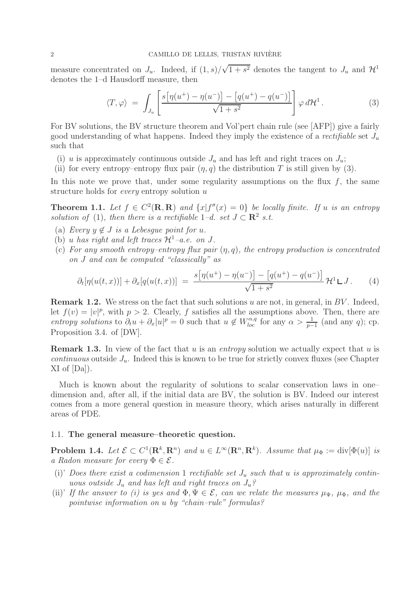measure concentrated on  $J_u$ . Indeed, if  $(1, s)$ / √  $\overline{1+s^2}$  denotes the tangent to  $J_u$  and  $\mathcal{H}^1$ denotes the 1–d Hausdorff measure, then

$$
\langle T, \varphi \rangle = \int_{J_u} \left[ \frac{s \left[ \eta(u^+) - \eta(u^-) \right] - \left[ q(u^+) - q(u^-) \right]}{\sqrt{1 + s^2}} \right] \varphi \, d\mathcal{H}^1. \tag{3}
$$

For BV solutions, the BV structure theorem and Vol'pert chain rule (see [AFP]) give a fairly good understanding of what happens. Indeed they imply the existence of a *rectifiable* set J<sup>u</sup> such that

- (i) u is approximately continuous outside  $J_u$  and has left and right traces on  $J_u$ ;
- (ii) for every entropy–entropy flux pair  $(\eta, q)$  the distribution T is still given by (3).

In this note we prove that, under some regularity assumptions on the flux  $f$ , the same structure holds for *every* entropy solution u

**Theorem 1.1.** Let  $f \in C^2(\mathbf{R}, \mathbf{R})$  and  $\{x | f''(x) = 0\}$  be locally finite. If u is an entropy *solution of* (1)*, then there is a rectifiable*  $1-d$ *. set*  $J \subset \mathbb{R}^2$  *s.t.* 

- (a) *Every*  $y \notin J$  *is a Lebesque point for u.*
- (b) u has right and left traces  $\mathcal{H}^1$ –a.e. on J.
- (c) *For any smooth entropy–entropy flux pair* (η, q)*, the entropy production is concentrated on* J *and can be computed "classically" as*

$$
\partial_t[\eta(u(t,x))] + \partial_x[q(u(t,x))] = \frac{s[\eta(u^+) - \eta(u^-)] - [q(u^+) - q(u^-)]}{\sqrt{1+s^2}} \mathcal{H}^1 \mathsf{L} J. \tag{4}
$$

**Remark 1.2.** We stress on the fact that such solutions u are not, in general, in BV. Indeed, let  $f(v) = |v|^p$ , with  $p > 2$ . Clearly, f satisfies all the assumptions above. Then, there are *entropy solutions* to  $\partial_t u + \partial_x |u|^p = 0$  such that  $u \notin W_{loc}^{\alpha,q}$  for any  $\alpha > \frac{1}{p-1}$  (and any q); cp. Proposition 3.4. of [DW].

**Remark 1.3.** In view of the fact that u is an *entropy* solution we actually expect that u is *continuous* outside  $J_u$ . Indeed this is known to be true for strictly convex fluxes (see Chapter XI of [Da]).

Much is known about the regularity of solutions to scalar conservation laws in one– dimension and, after all, if the initial data are BV, the solution is BV. Indeed our interest comes from a more general question in measure theory, which arises naturally in different areas of PDE.

## 1.1. **The general measure–theoretic question.**

**Problem 1.4.** *Let*  $\mathcal{E} \subset C^1(\mathbb{R}^k, \mathbb{R}^n)$  *and*  $u \in L^\infty(\mathbb{R}^n, \mathbb{R}^k)$ *. Assume that*  $\mu_{\Phi} := \text{div}[\Phi(u)]$  *is a Radon measure for every*  $\Phi \in \mathcal{E}$ .

- (i)' Does there exist a codimension 1 rectifiable set  $J_u$  such that u is approximately contin*uous outside* J<sup>u</sup> *and has left and right traces on* Ju*?*
- (ii)' If the answer to (i) is yes and  $\Phi, \Psi \in \mathcal{E}$ , can we relate the measures  $\mu_{\Psi}, \mu_{\Phi}$ , and the *pointwise information on* u *by "chain–rule" formulas?*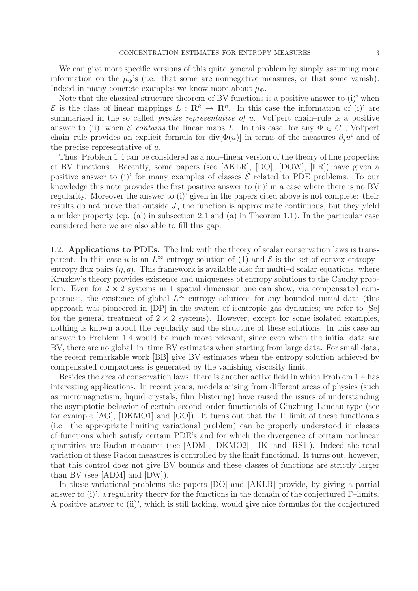We can give more specific versions of this quite general problem by simply assuming more information on the  $\mu_{\Phi}$ 's (i.e. that some are nonnegative measures, or that some vanish): Indeed in many concrete examples we know more about  $\mu_{\Phi}$ .

Note that the classical structure theorem of BV functions is a positive answer to (i)' when  $\mathcal{E}$  is the class of linear mappings  $L : \mathbb{R}^k \to \mathbb{R}^n$ . In this case the information of (i)' are summarized in the so called *precise representative of* u. Vol'pert chain–rule is a positive answer to (ii)' when  $\mathcal E$  *contains* the linear maps L. In this case, for any  $\Phi \in C^1$ , Vol'pert chain–rule provides an explicit formula for div $[\Phi(u)]$  in terms of the measures  $\partial_i u^i$  and of the precise representative of  $u$ .

Thus, Problem 1.4 can be considered as a non–linear version of the theory of fine properties of BV functions. Recently, some papers (see [AKLR], [DO], [DOW], [LR]) have given a positive answer to (i)' for many examples of classes  $\mathcal E$  related to PDE problems. To our knowledge this note provides the first positive answer to (ii)' in a case where there is no BV regularity. Moreover the answer to (i)' given in the papers cited above is not complete: their results do not prove that outside  $J_u$  the function is approximate continuous, but they yield a milder property (cp. (a') in subsection 2.1 and (a) in Theorem 1.1). In the particular case considered here we are also able to fill this gap.

1.2. **Applications to PDEs.** The link with the theory of scalar conservation laws is transparent. In this case u is an  $L^{\infty}$  entropy solution of (1) and  $\mathcal E$  is the set of convex entropy– entropy flux pairs  $(\eta, q)$ . This framework is available also for multi-d scalar equations, where Kruzkov's theory provides existence and uniqueness of entropy solutions to the Cauchy problem. Even for  $2 \times 2$  systems in 1 spatial dimension one can show, via compensated compactness, the existence of global  $L^{\infty}$  entropy solutions for any bounded initial data (this approach was pioneered in [DP] in the system of isentropic gas dynamics; we refer to [Se] for the general treatment of  $2 \times 2$  systems). However, except for some isolated examples, nothing is known about the regularity and the structure of these solutions. In this case an answer to Problem 1.4 would be much more relevant, since even when the initial data are BV, there are no global–in–time BV estimates when starting from large data. For small data, the recent remarkable work [BB] give BV estimates when the entropy solution achieved by compensated compactness is generated by the vanishing viscosity limit.

Besides the area of conservation laws, there is another active field in which Problem 1.4 has interesting applications. In recent years, models arising from different areas of physics (such as micromagnetism, liquid crystals, film–blistering) have raised the issues of understanding the asymptotic behavior of certain second–order functionals of Ginzburg–Landau type (see for example  $[AG]$ ,  $[DKMO1]$  and  $[GO]$ ). It turns out that the  $\Gamma$ -limit of these functionals (i.e. the appropriate limiting variational problem) can be properly understood in classes of functions which satisfy certain PDE's and for which the divergence of certain nonlinear quantities are Radon measures (see [ADM], [DKMO2], [JK] and [RS1]). Indeed the total variation of these Radon measures is controlled by the limit functional. It turns out, however, that this control does not give BV bounds and these classes of functions are strictly larger than BV (see [ADM] and [DW]).

In these variational problems the papers [DO] and [AKLR] provide, by giving a partial answer to (i)', a regularity theory for the functions in the domain of the conjectured  $\Gamma$ –limits. A positive answer to (ii)', which is still lacking, would give nice formulas for the conjectured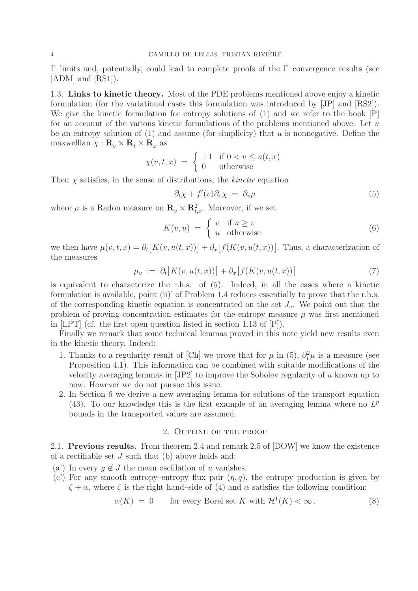Γ–limits and, potentially, could lead to complete proofs of the Γ–convergence results (see [ADM] and [RS1]).

1.3. **Links to kinetic theory.** Most of the PDE problems mentioned above enjoy a kinetic formulation (for the variational cases this formulation was introduced by [JP] and [RS2]). We give the kinetic formulation for entropy solutions of (1) and we refer to the book [P] for an account of the various kinetic formulations of the problems mentioned above. Let  $u$ be an entropy solution of  $(1)$  and assume (for simplicity) that u is nonnegative. Define the maxwellian  $\chi : \mathbf{R}_v \times \mathbf{R}_t \times \mathbf{R}_x$  as

$$
\chi(v, t, x) = \begin{cases} +1 & \text{if } 0 < v \le u(t, x) \\ 0 & \text{otherwise} \end{cases}
$$

Then  $\chi$  satisfies, in the sense of distributions, the *kinetic* equation

$$
\partial_t \chi + f'(v) \partial_x \chi = \partial_v \mu \tag{5}
$$

where  $\mu$  is a Radon measure on  $\mathbf{R}_v \times \mathbf{R}_{t,x}^2$ . Moreover, if we set

$$
K(v, u) = \begin{cases} v & \text{if } u \ge v \\ u & \text{otherwise} \end{cases}
$$
 (6)

we then have  $\mu(v, t, x) = \partial_t [K(v, u(t, x))] + \partial_x [f(K(v, u(t, x))]$ . Thus, a characterization of the measures

$$
\mu_v := \partial_t \big[ K(v, u(t, x)) \big] + \partial_x \big[ f(K(v, u(t, x)) \big] \tag{7}
$$

is equivalent to characterize the r.h.s. of (5). Indeed, in all the cases where a kinetic formulation is available, point (ii)' of Problem 1.4 reduces essentially to prove that the r.h.s. of the corresponding kinetic equation is concentrated on the set  $J_u$ . We point out that the problem of proving concentration estimates for the entropy measure  $\mu$  was first mentioned in [LPT] (cf. the first open question listed in section 1.13 of [P]).

Finally we remark that some technical lemmas proved in this note yield new results even in the kinetic theory. Indeed:

- 1. Thanks to a regularity result of [Ch] we prove that for  $\mu$  in (5),  $\partial_v^2 \mu$  is a measure (see Proposition 4.1). This information can be combined with suitable modifications of the velocity averaging lemmas in [JP2] to improve the Sobolev regularity of u known up to now. However we do not pursue this issue.
- 2. In Section 6 we derive a new averaging lemma for solutions of the transport equation (43). To our knowledge this is the first example of an averaging lemma where no  $L^p$ bounds in the transported values are assumed.

# 2. Outline of the proof

2.1. **Previous results.** From theorem 2.4 and remark 2.5 of [DOW] we know the existence of a rectifiable set J such that (b) above holds and:

- (a') In every  $y \notin J$  the mean oscillation of u vanishes.
- (c') For any smooth entropy–entropy flux pair  $(\eta, q)$ , the entropy production is given by  $\zeta + \alpha$ , where  $\zeta$  is the right hand–side of (4) and  $\alpha$  satisfies the following condition:

$$
\alpha(K) = 0 \qquad \text{for every Borel set } K \text{ with } \mathcal{H}^1(K) < \infty. \tag{8}
$$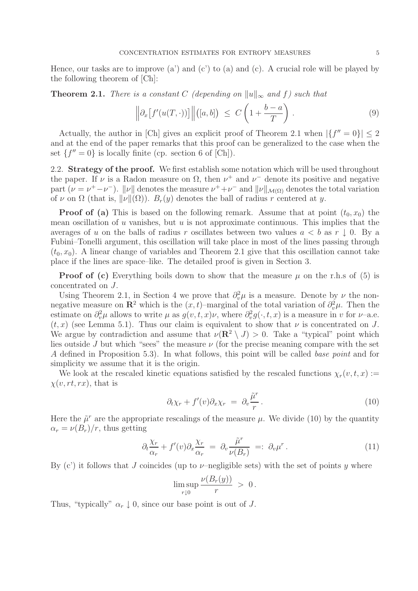Hence, our tasks are to improve (a') and (c') to (a) and (c). A crucial role will be played by the following theorem of [Ch]:

**Theorem 2.1.** *There is a constant* C *(depending on*  $||u||_{\infty}$  *and* f*) such that* 

$$
\left\|\partial_x \left[f'(u(T,\cdot))\right]\right\|([a,b]) \ \leq \ C\left(1+\frac{b-a}{T}\right) \ . \tag{9}
$$

Actually, the author in [Ch] gives an explicit proof of Theorem 2.1 when  $|\{f''=0\}| \leq 2$ and at the end of the paper remarks that this proof can be generalized to the case when the set  ${f'' = 0}$  is locally finite (cp. section 6 of [Ch]).

2.2. **Strategy of the proof.** We first establish some notation which will be used throughout the paper. If  $\nu$  is a Radon measure on  $\Omega$ , then  $\nu^+$  and  $\nu^-$  denote its positive and negative part ( $\nu = \nu^+ - \nu^-$ ).  $\|\nu\|$  denotes the measure  $\nu^+ + \nu^-$  and  $\|\nu\|_{\mathcal{M}(\Omega)}$  denotes the total variation of v on  $\Omega$  (that is,  $\|\nu\|(\Omega)$ ).  $B_r(y)$  denotes the ball of radius r centered at y.

**Proof of (a)** This is based on the following remark. Assume that at point  $(t_0, x_0)$  the mean oscillation of u vanishes, but u is not approximate continuous. This implies that the averages of u on the balls of radius r oscillates between two values  $a < b$  as  $r \downarrow 0$ . By a Fubini–Tonelli argument, this oscillation will take place in most of the lines passing through  $(t_0, x_0)$ . A linear change of variables and Theorem 2.1 give that this oscillation cannot take place if the lines are space–like. The detailed proof is given in Section 3.

**Proof of (c)** Everything boils down to show that the measure  $\mu$  on the r.h.s of (5) is concentrated on J.

Using Theorem 2.1, in Section 4 we prove that  $\partial_v^2 \mu$  is a measure. Denote by  $\nu$  the nonnegative measure on  $\mathbb{R}^2$  which is the  $(x, t)$ –marginal of the total variation of  $\partial_v^2 \mu$ . Then the estimate on  $\partial_v^2 \mu$  allows to write  $\mu$  as  $g(v, t, x)\nu$ , where  $\partial_v^2 g(\cdot, t, x)$  is a measure in v for  $\nu$ -a.e.  $(t, x)$  (see Lemma 5.1). Thus our claim is equivalent to show that  $\nu$  is concentrated on J. We argue by contradiction and assume that  $\nu(\mathbf{R}^2 \setminus J) > 0$ . Take a "typical" point which lies outside J but which "sees" the measure  $\nu$  (for the precise meaning compare with the set A defined in Proposition 5.3). In what follows, this point will be called *base point* and for simplicity we assume that it is the origin.

We look at the rescaled kinetic equations satisfied by the rescaled functions  $\chi_r(v, t, x) :=$  $\chi(v,rt,rx)$ , that is

$$
\partial_t \chi_r + f'(v) \partial_x \chi_r = \partial_v \frac{\tilde{\mu}^r}{r} . \tag{10}
$$

Here the  $\tilde{\mu}^r$  are the appropriate rescalings of the measure  $\mu$ . We divide (10) by the quantity  $\alpha_r = \nu(B_r)/r$ , thus getting

$$
\partial_t \frac{\chi_r}{\alpha_r} + f'(v) \partial_x \frac{\chi_r}{\alpha_r} = \partial_v \frac{\tilde{\mu}^r}{\nu(B_r)} =: \partial_v \mu^r. \tag{11}
$$

By  $(c')$  it follows that J coincides (up to  $\nu$ -negligible sets) with the set of points y where

$$
\limsup_{r \downarrow 0} \frac{\nu(B_r(y))}{r} \; > \; 0 \, .
$$

Thus, "typically"  $\alpha_r \downarrow 0$ , since our base point is out of J.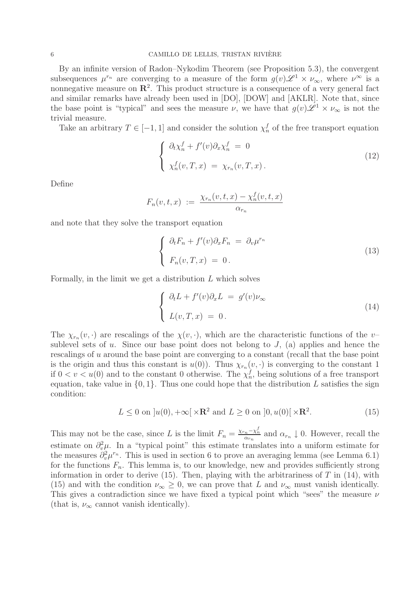By an infinite version of Radon–Nykodim Theorem (see Proposition 5.3), the convergent subsequences  $\mu^{r_n}$  are converging to a measure of the form  $g(v)\mathscr{L}^1 \times \nu_{\infty}$ , where  $\nu^{\infty}$  is a nonnegative measure on  $\mathbb{R}^2$ . This product structure is a consequence of a very general fact and similar remarks have already been used in [DO], [DOW] and [AKLR]. Note that, since the base point is "typical" and sees the measure  $\nu$ , we have that  $g(v)\mathscr{L}^1 \times \nu_{\infty}$  is not the trivial measure.

Take an arbitrary  $T \in [-1, 1]$  and consider the solution  $\chi_n^f$  of the free transport equation

$$
\begin{cases}\n\partial_t \chi_n^f + f'(v) \partial_x \chi_n^f = 0 \\
\chi_n^f(v, T, x) = \chi_{r_n}(v, T, x).\n\end{cases}
$$
\n(12)

Define

$$
F_n(v, t, x) := \frac{\chi_{r_n}(v, t, x) - \chi_n^f(v, t, x)}{\alpha_{r_n}}
$$

and note that they solve the transport equation

$$
\begin{cases} \partial_t F_n + f'(v)\partial_x F_n = \partial_v \mu^{r_n} \\ F_n(v, T, x) = 0. \end{cases}
$$
\n(13)

Formally, in the limit we get a distribution L which solves

$$
\begin{cases} \partial_t L + f'(v)\partial_x L = g'(v)\nu_\infty \\ L(v, T, x) = 0. \end{cases}
$$
\n(14)

The  $\chi_{r_n}(v, \cdot)$  are rescalings of the  $\chi(v, \cdot)$ , which are the characteristic functions of the v– sublevel sets of u. Since our base point does not belong to  $J$ , (a) applies and hence the rescalings of u around the base point are converging to a constant (recall that the base point is the origin and thus this constant is  $u(0)$ ). Thus  $\chi_{r_n}(v, \cdot)$  is converging to the constant 1 if  $0 < v < u(0)$  and to the constant 0 otherwise. The  $\chi_n^f$ , being solutions of a free transport equation, take value in  $\{0, 1\}$ . Thus one could hope that the distribution L satisfies the sign condition:

$$
L \le 0 \text{ on } ]u(0), +\infty[\times \mathbf{R}^2 \text{ and } L \ge 0 \text{ on } ]0, u(0)[\times \mathbf{R}^2. \tag{15}
$$

This may not be the case, since L is the limit  $F_n = \frac{\chi_{r_n} - \chi_n^f}{\alpha_{r_n}}$  and  $\alpha_{r_n} \downarrow 0$ . However, recall the estimate on  $\partial_{\nu}^{2}\mu$ . In a "typical point" this estimate translates into a uniform estimate for the measures  $\partial_v^2 \mu^{r_n}$ . This is used in section 6 to prove an averaging lemma (see Lemma 6.1) for the functions  $F_n$ . This lemma is, to our knowledge, new and provides sufficiently strong information in order to derive  $(15)$ . Then, playing with the arbitrariness of T in  $(14)$ , with (15) and with the condition  $\nu_{\infty} \geq 0$ , we can prove that L and  $\nu_{\infty}$  must vanish identically. This gives a contradiction since we have fixed a typical point which "sees" the measure  $\nu$ (that is,  $\nu_{\infty}$  cannot vanish identically).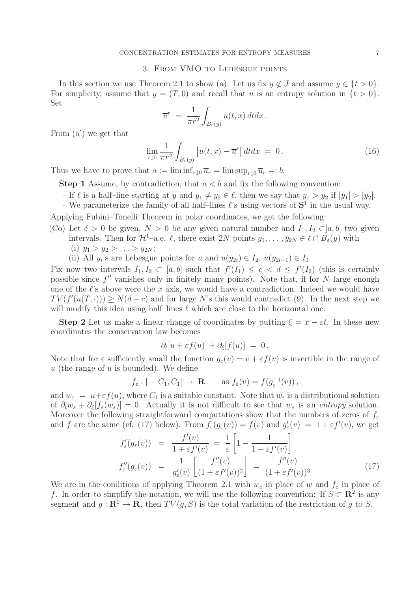#### 3. From VMO to Lebesgue points

In this section we use Theorem 2.1 to show (a). Let us fix  $y \notin J$  and assume  $y \in \{t > 0\}$ . For simplicity, assume that  $y = (T, 0)$  and recall that u is an entropy solution in  $\{t > 0\}$ . Set

$$
\overline{u}^r = \frac{1}{\pi r^2} \int_{B_r(y)} u(t, x) dt dx.
$$

From (a') we get that

$$
\lim_{r \downarrow 0} \frac{1}{\pi r^2} \int_{B_r(y)} \left| u(t, x) - \overline{u}^r \right| dt dx = 0. \tag{16}
$$

Thus we have to prove that  $a := \liminf_{r \downarrow 0} \overline{u}_r = \limsup_{r \downarrow 0} \overline{u}_r =: b$ .

**Step 1** Assume, by contradiction, that  $a < b$  and fix the following convention:

- If  $\ell$  is a half-line starting at y and  $y_1 \neq y_2 \in \ell$ , then we say that  $y_1 > y_2$  if  $|y_1| > |y_2|$ .
- We parameterize the family of all half-lines  $\ell$ 's using vectors of  $S^1$  in the usual way.

Applying Fubini–Tonelli Theorem in polar coordinates, we get the following:

- (Co) Let  $\delta > 0$  be given,  $N > 0$  be any given natural number and  $I_1, I_2 \subset ]a, b[$  two given intervals. Then for  $\mathcal{H}^1$ –a.e.  $\ell$ , there exist 2N points  $y_1, \ldots, y_{2N} \in \ell \cap B_{\delta}(y)$  with
	- (i)  $y_1 > y_2 > \ldots > y_{2N}$ ;
	- (ii) All  $y_i$ 's are Lebesgue points for u and  $u(y_{2i}) \in I_2$ ,  $u(y_{2i+1}) \in I_1$ .

Fix now two intervals  $I_1, I_2 \subset [a, b]$  such that  $f'(I_1) \leq c < d \leq f'(I_2)$  (this is certainly possible since  $f''$  vanishes only in finitely many points). Note that, if for N large enough one of the  $\ell$ 's above were the x axis, we would have a contradiction. Indeed we would have  $TV(f'(u(T, \cdot))) \geq N(d - c)$  and for large N's this would contradict (9). In the next step we will modify this idea using half-lines  $\ell$  which are close to the horizontal one.

**Step 2** Let us make a linear change of coordinates by putting  $\xi = x - \varepsilon t$ . In these new coordinates the conservation law becomes

$$
\partial_t[u+\varepsilon f(u)] + \partial_{\xi}[f(u)] = 0.
$$

Note that for  $\varepsilon$  sufficiently small the function  $g_{\varepsilon}(v) = v + \varepsilon f(v)$  is invertible in the range of  $u$  (the range of  $u$  is bounded). We define

$$
f_{\varepsilon}
$$
:  $]-C_1, C_1[ \rightarrow \mathbf{R}$  as  $f_{\varepsilon}(v) = f(g_{\varepsilon}^{-1}(v)),$ 

and  $w_{\varepsilon} = u + \varepsilon f(u)$ , where  $C_1$  is a suitable constant. Note that  $w_{\varepsilon}$  is a distributional solution of  $\partial_t w_\varepsilon + \partial_\xi [f_\varepsilon(w_\varepsilon)] = 0$ . Actually it is not difficult to see that  $w_\varepsilon$  is an *entropy* solution. Moreover the following straightforward computations show that the numbers of zeros of  $f_{\varepsilon}$ and f are the same (cf. (17) below). From  $f_{\varepsilon}(g_{\varepsilon}(v)) = f(v)$  and  $g'_{\varepsilon}(v) = 1 + \varepsilon f'(v)$ , we get

$$
f'_{\varepsilon}(g_{\varepsilon}(v)) = \frac{f'(v)}{1 + \varepsilon f'(v)} = \frac{1}{\varepsilon} \left[ 1 - \frac{1}{1 + \varepsilon f'(v)} \right]
$$

$$
f''_{\varepsilon}(g_{\varepsilon}(v)) = \frac{1}{g'_{\varepsilon}(v)} \left[ \frac{f''(v)}{(1 + \varepsilon f'(v))^2} \right] = \frac{f''(v)}{(1 + \varepsilon f'(v))^3}
$$
(17)

We are in the conditions of applying Theorem 2.1 with  $w_{\varepsilon}$  in place of w and  $f_{\varepsilon}$  in place of f. In order to simplify the notation, we will use the following convention: If  $S \subset \mathbb{R}^2$  is any segment and  $q : \mathbb{R}^2 \to \mathbb{R}$ , then  $TV(q, S)$  is the total variation of the restriction of q to S.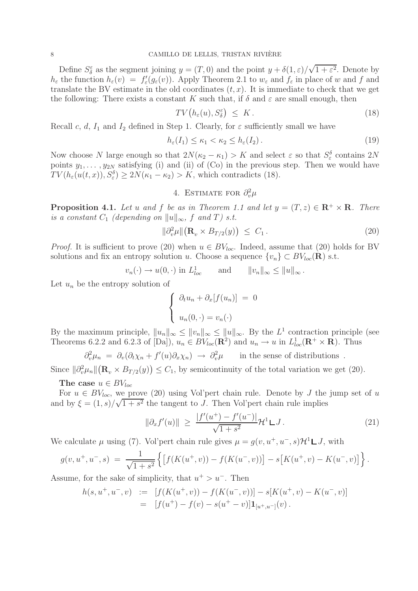Define  $S_{\delta}^{\varepsilon}$  as the segment joining  $y = (T, 0)$  and the point  $y + \delta(1, \varepsilon)$ / √  $1 + \varepsilon^2$ . Denote by  $h_{\varepsilon}$  the function  $h_{\varepsilon}(v) = f'_{\varepsilon}(g_{\varepsilon}(v))$ . Apply Theorem 2.1 to  $w_{\varepsilon}$  and  $f_{\varepsilon}$  in place of w and f and translate the BV estimate in the old coordinates  $(t, x)$ . It is immediate to check that we get the following: There exists a constant K such that, if  $\delta$  and  $\varepsilon$  are small enough, then

$$
TV\big(h_{\varepsilon}(u), S_{\delta}^{\varepsilon}\big) \leq K. \tag{18}
$$

Recall c, d,  $I_1$  and  $I_2$  defined in Step 1. Clearly, for  $\varepsilon$  sufficiently small we have

$$
h_{\varepsilon}(I_1) \le \kappa_1 < \kappa_2 \le h_{\varepsilon}(I_2). \tag{19}
$$

Now choose N large enough so that  $2N(\kappa_2 - \kappa_1) > K$  and select  $\varepsilon$  so that  $S_{\varepsilon}^{\delta}$  contains  $2N$ points  $y_1, \ldots, y_{2N}$  satisfying (i) and (ii) of  $(Co)$  in the previous step. Then we would have  $TV(h_{\varepsilon}(u(t,x)), S_{\varepsilon}^{\delta}) \geq 2N(\kappa_1 - \kappa_2) > K$ , which contradicts (18).

# 4. ESTIMATE FOR  $\partial_v^2 \mu$

**Proposition 4.1.** Let u and f be as in Theorem 1.1 and let  $y = (T, z) \in \mathbb{R}^+ \times \mathbb{R}$ . There *is a constant*  $C_1$  *(depending on*  $||u||_{\infty}$ *, f and*  $T$ *) s.t.* 

$$
\|\partial_v^2 \mu\| \big(\mathbf{R}_v \times B_{T/2}(y)\big) \ \leq \ C_1 \,. \tag{20}
$$

*Proof.* It is sufficient to prove (20) when  $u \in BV_{loc}$ . Indeed, assume that (20) holds for BV solutions and fix an entropy solution u. Choose a sequence  $\{v_n\} \subset BV_{loc}(\mathbf{R})$  s.t.

$$
v_n(\cdot) \to u(0,\cdot)
$$
 in  $L^1_{loc}$  and  $||v_n||_{\infty} \le ||u||_{\infty}$ .

Let  $u_n$  be the entropy solution of

$$
\begin{cases} \partial_t u_n + \partial_x [f(u_n)] = 0 \\ u_n(0, \cdot) = v_n(\cdot) \end{cases}
$$

By the maximum principle,  $||u_n||_{\infty} \le ||u_n||_{\infty} \le ||u||_{\infty}$ . By the  $L^1$  contraction principle (see Theorems 6.2.2 and 6.2.3 of [Da]),  $u_n \in BV_{loc}(\mathbb{R}^2)$  and  $u_n \to u$  in  $L^1_{loc}(\mathbb{R}^+ \times \mathbb{R})$ . Thus

$$
\partial_v^2 \mu_n = \partial_v (\partial_t \chi_n + f'(u) \partial_x \chi_n) \to \partial_v^2 \mu \quad \text{in the sense of distributions }.
$$

Since  $\|\partial_v^2\mu_n\|(\mathbf{R}_v \times B_{T/2}(y)) \leq C_1$ , by semicontinuity of the total variation we get (20).

**The case**  $u \in BV_{loc}$ 

For  $u \in BV_{loc}$ , we prove (20) using Vol'pert chain rule. Denote by J the jump set of u and by  $\xi = (1, s)/\sqrt{1 + s^2}$  the tangent to J. Then Vol'pert chain rule implies

$$
\|\partial_x f'(u)\| \ge \frac{|f'(u^+) - f'(u^-)|}{\sqrt{1 + s^2}} \mathcal{H}^1 \mathsf{L} J. \tag{21}
$$

We calculate  $\mu$  using (7). Vol'pert chain rule gives  $\mu = q(v, u^+, u^-, s) \mathcal{H}^1 \square J$ , with

$$
g(v, u^+, u^-, s) = \frac{1}{\sqrt{1+s^2}} \left\{ \left[ f(K(u^+, v)) - f(K(u^-, v)) \right] - s \left[ K(u^+, v) - K(u^-, v) \right] \right\}.
$$

Assume, for the sake of simplicity, that  $u^+ > u^-$ . Then

$$
h(s, u^+, u^-, v) := [f(K(u^+, v)) - f(K(u^-, v))] - s[K(u^+, v) - K(u^-, v)]
$$
  
= 
$$
[f(u^+) - f(v) - s(u^+ - v)]\mathbf{1}_{[u^+, u^-]}(v).
$$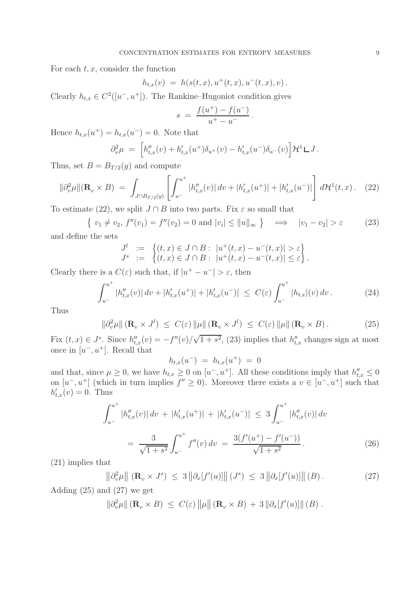For each  $t, x$ , consider the function

$$
h_{t,x}(v) = h(s(t,x), u^+(t,x), u^-(t,x), v).
$$

Clearly  $h_{t,x} \in C^2([u^-, u^+])$ . The Rankine–Hugoniot condition gives

$$
s = \frac{f(u^+) - f(u^-)}{u^+ - u^-}.
$$

Hence  $h_{t,x}(u^+) = h_{t,x}(u^-) = 0$ . Note that

$$
\partial_v^2 \mu = \left[ h''_{t,x}(v) + h'_{t,x}(u^+) \delta_{u^+}(v) - h'_{t,x}(u^-) \delta_{u^-}(v) \right] \mathcal{H}^1 \mathcal{L} J.
$$

Thus, set  $B = B_{T/2}(y)$  and compute

$$
\|\partial_v^2 \mu\|(\mathbf{R}_v \times B) = \int_{J \cap B_{T/2}(y)} \left[ \int_{u^-}^{u^+} |h''_{t,x}(v)| \, dv + |h'_{t,x}(u^+)| + |h'_{t,x}(u^-)| \right] d\mathcal{H}^1(t, x). \tag{22}
$$

To estimate (22), we split  $J \cap B$  into two parts. Fix  $\varepsilon$  so small that

 $\{v_1 \neq v_2, f''(v_1) = f''(v_2) = 0 \text{ and } |v_i| \le ||u||_{\infty} \} \implies |v_1 - v_2| > \varepsilon$  (23) and define the sets

$$
J^{l} := \left\{ (t, x) \in J \cap B : |u^{+}(t, x) - u^{-}(t, x)| > \varepsilon \right\}
$$
  

$$
J^{s} := \left\{ (t, x) \in J \cap B : |u^{+}(t, x) - u^{-}(t, x)| \le \varepsilon \right\}.
$$

Clearly there is a  $C(\varepsilon)$  such that, if  $|u^+ - u^-| > \varepsilon$ , then

$$
\int_{u^-}^{u^+} |h''_{t,x}(v)| dv + |h'_{t,x}(u^+)| + |h'_{t,x}(u^-)| \le C(\varepsilon) \int_{u^-}^{u^+} |h_{t,x}|(v) dv. \tag{24}
$$

Thus

$$
\|\partial_v^2 \mu\| \left( \mathbf{R}_v \times J^l \right) \le C(\varepsilon) \|\mu\| \left( \mathbf{R}_v \times J^l \right) \le C(\varepsilon) \|\mu\| \left( \mathbf{R}_v \times B \right). \tag{25}
$$

Fix  $(t, x) \in J^s$ . Since  $h''_{t,x}(v) = -f''(v)$ /  $\overline{1+s^2}$ , (23) implies that  $h''_{t,x}$  changes sign at most once in  $[u^-, u^+]$ . Recall that

 $h_{t,x}(u^{-}) = h_{t,x}(u^{+}) = 0$ 

and that, since  $\mu \geq 0$ , we have  $h_{t,x} \geq 0$  on  $[u^-, u^+]$ . All these conditions imply that  $h''_{t,x} \leq 0$ on  $[u^-, u^+]$  (which in turn implies  $f'' \ge 0$ ). Moreover there exists a  $v \in [u^-, u^+]$  such that  $h'_{t,x}(v) = 0$ . Thus

$$
\int_{u^{-}}^{u^{+}} |h''_{t,x}(v)| dv + |h'_{t,x}(u^{+})| + |h'_{t,x}(u^{-})| \le 3 \int_{u^{-}}^{u^{+}} |h''_{t,x}(v)| dv
$$

$$
= \frac{3}{\sqrt{1+s^{2}}} \int_{u^{-}}^{u^{+}} f''(v) dv = \frac{3(f'(u^{+}) - f'(u^{-}))}{\sqrt{1+s^{2}}}.
$$
(26)

(21) implies that

$$
\left\|\partial_v^2 \mu\right\| \left(\mathbf{R}_v \times J^s\right) \leq 3 \left\|\partial_x[f'(u)]\right\| (J^s) \leq 3 \left\|\partial_x[f'(u)]\right\| (B). \tag{27}
$$

Adding (25) and (27) we get

$$
\|\partial_v^2 \mu\|(\mathbf{R}_v \times B) \leq C(\varepsilon) \|\mu\|(\mathbf{R}_v \times B) + 3 \|\partial_x[f'(u)]\| (B) .
$$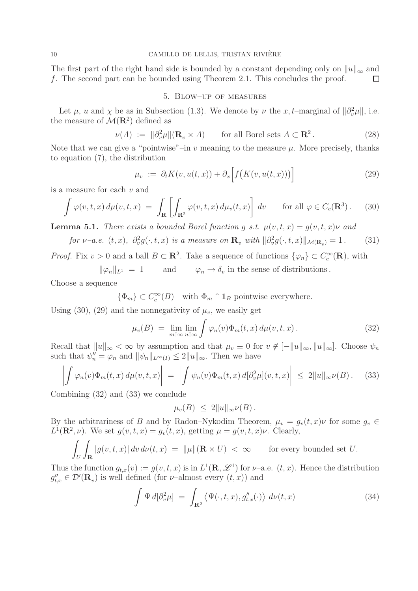The first part of the right hand side is bounded by a constant depending only on  $||u||_{\infty}$  and f. The second part can be bounded using Theorem 2.1. This concludes the proof.  $\Box$ 

# 5. Blow–up of measures

Let  $\mu$ , u and  $\chi$  be as in Subsection (1.3). We denote by  $\nu$  the x, t–marginal of  $\|\partial_v^2\mu\|$ , i.e. the measure of  $\mathcal{M}(\mathbb{R}^2)$  defined as

$$
\nu(A) := \|\partial_v^2 \mu\|(\mathbf{R}_v \times A) \qquad \text{for all Borel sets } A \subset \mathbf{R}^2. \tag{28}
$$

Note that we can give a "pointwise"–in  $v$  meaning to the measure  $\mu$ . More precisely, thanks to equation (7), the distribution

$$
\mu_v := \partial_t K(v, u(t, x)) + \partial_x \Big[ f\big(K(v, u(t, x))\big) \Big] \tag{29}
$$

is a measure for each v and

$$
\int \varphi(v,t,x) d\mu(v,t,x) = \int_{\mathbf{R}} \left[ \int_{\mathbf{R}^2} \varphi(v,t,x) d\mu_v(t,x) \right] dv \quad \text{for all } \varphi \in C_c(\mathbf{R}^3). \tag{30}
$$

**Lemma 5.1.** *There exists a bounded Borel function g s.t.*  $\mu(v, t, x) = g(v, t, x)\nu$  and

for 
$$
\nu
$$
-a.e.  $(t, x)$ ,  $\partial_v^2 g(\cdot, t, x)$  is a measure on  $\mathbf{R}_v$  with  $\|\partial_v^2 g(\cdot, t, x)\|_{\mathcal{M}(\mathbf{R}_v)} = 1$ . (31)

*Proof.* Fix  $v > 0$  and a ball  $B \subset \mathbb{R}^2$ . Take a sequence of functions  $\{\varphi_n\} \subset C_c^{\infty}(\mathbb{R})$ , with

 $\|\varphi_n\|_{L^1} = 1$  and  $\varphi_n \to \delta_v$  in the sense of distributions.

Choose a sequence

 $\{\Phi_m\} \subset C_c^{\infty}(B)$  with  $\Phi_m \uparrow \mathbf{1}_B$  pointwise everywhere.

Using (30), (29) and the nonnegativity of  $\mu_v$ , we easily get

$$
\mu_v(B) = \lim_{m \uparrow \infty} \lim_{n \uparrow \infty} \int \varphi_n(v) \Phi_m(t, x) d\mu(v, t, x).
$$
\n(32)

Recall that  $||u||_{\infty} < \infty$  by assumption and that  $\mu_v \equiv 0$  for  $v \notin [-||u||_{\infty}, ||u||_{\infty}]$ . Choose  $\psi_n$ such that  $\psi_n'' = \varphi_n$  and  $\|\psi_n\|_{L^{\infty}(I)} \leq 2\|u\|_{\infty}$ . Then we have

$$
\left| \int \varphi_n(v) \Phi_m(t, x) d\mu(v, t, x) \right| = \left| \int \psi_n(v) \Phi_m(t, x) d[\partial_v^2 \mu](v, t, x) \right| \le 2 \|u\|_{\infty} \nu(B). \tag{33}
$$

Combining (32) and (33) we conclude

$$
\mu_v(B) \leq 2||u||_{\infty} \nu(B).
$$

By the arbitrariness of B and by Radon–Nykodim Theorem,  $\mu_v = g_v(t, x)\nu$  for some  $g_v \in$  $L^1(\mathbf{R}^2, \nu)$ . We set  $g(v, t, x) = g_v(t, x)$ , getting  $\mu = g(v, t, x)\nu$ . Clearly,

$$
\int_{U} \int_{\mathbf{R}} |g(v, t, x)| dv d\nu(t, x) = ||\mu||(\mathbf{R} \times U) < \infty \quad \text{for every bounded set } U.
$$

Thus the function  $g_{t,x}(v) := g(v, t, x)$  is in  $L^1(\mathbf{R}, \mathscr{L}^1)$  for  $\nu$ -a.e.  $(t, x)$ . Hence the distribution  $g''_{t,x} \in \mathcal{D}'(\mathbf{R}_v)$  is well defined (for  $\nu$ -almost every  $(t, x)$ ) and

$$
\int \Psi d[\partial_v^2 \mu] = \int_{\mathbf{R}^2} \langle \Psi(\cdot, t, x), g''_{t,x}(\cdot) \rangle d\nu(t, x) \tag{34}
$$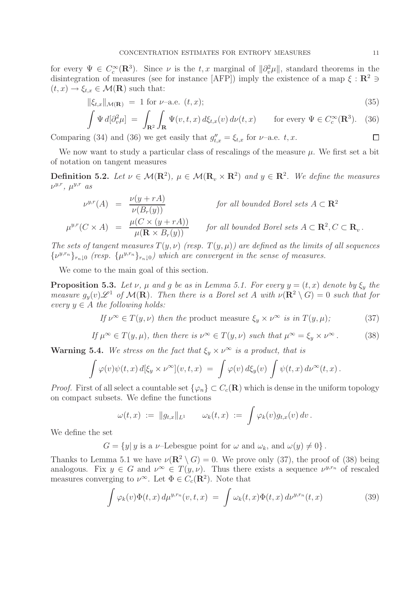for every  $\Psi \in C_c^{\infty}(\mathbf{R}^3)$ . Since  $\nu$  is the t, x marginal of  $\|\partial_v^2\mu\|$ , standard theorems in the disintegration of measures (see for instance [AFP]) imply the existence of a map  $\xi : \mathbb{R}^2 \ni$  $(t, x) \rightarrow \xi_{t,x} \in \mathcal{M}(\mathbf{R})$  such that:

$$
\|\xi_{t,x}\|_{\mathcal{M}(\mathbf{R})} = 1 \text{ for } \nu\text{-a.e. } (t,x); \tag{35}
$$

$$
\int \Psi d[\partial_v^2 \mu] = \int_{\mathbf{R}^2} \int_{\mathbf{R}} \Psi(v, t, x) d\xi_{t, x}(v) d\nu(t, x) \quad \text{for every } \Psi \in C_c^{\infty}(\mathbf{R}^3). \tag{36}
$$
  
ag (34) and (36) we get easily that  $q''_{t, x} = \xi_{t, x}$  for  $\nu$ -a.e.  $t, x$ .

Comparing (34) and (36) we get easily that  $g''_{t,x} = \xi_{t,x}$  for  $\nu$ -a.e. t, x.

We now want to study a particular class of rescalings of the measure  $\mu$ . We first set a bit of notation on tangent measures

**Definition 5.2.** *Let*  $\nu \in \mathcal{M}(\mathbb{R}^2)$ ,  $\mu \in \mathcal{M}(\mathbb{R}_v \times \mathbb{R}^2)$  and  $y \in \mathbb{R}^2$ . We define the measures  $\nu^{y,r}$ ,  $\mu^{y,r}$  *as* 

$$
\nu^{y,r}(A) = \frac{\nu(y+rA)}{\nu(B_r(y))}
$$
 for all bounded Borel sets  $A \subset \mathbb{R}^2$   

$$
\mu^{y,r}(C \times A) = \frac{\mu(C \times (y+rA))}{\mu(\mathbb{R} \times B_r(y))}
$$
 for all bounded Borel sets  $A \subset \mathbb{R}^2, C \subset \mathbb{R}_v$ .

*The sets of tangent measures*  $T(y, \nu)$  *(resp.*  $T(y, \mu)$ *)* are defined as the limits of all sequences  $\{\nu^{y,r_n}\}_{r_n\downarrow 0}$  (resp.  $\{\mu^{y,r_n}\}_{r_n\downarrow 0}$ ) which are convergent in the sense of measures.

We come to the main goal of this section.

**Proposition 5.3.** *Let*  $\nu$ ,  $\mu$  *and*  $g$  *be as in Lemma 5.1. For every*  $y = (t, x)$  *denote by*  $\xi_y$  *the measure*  $g_y(v)\mathscr{L}^1$  *of*  $\mathcal{M}(\mathbf{R})$ *. Then there is a Borel set A with*  $\nu(\mathbf{R}^2 \setminus G) = 0$  *such that for every*  $y \in A$  *the following holds:* 

If 
$$
\nu^{\infty} \in T(y, \nu)
$$
 then the product measure  $\xi_y \times \nu^{\infty}$  is in  $T(y, \mu)$ ; (37)

If 
$$
\mu^{\infty} \in T(y, \mu)
$$
, then there is  $\nu^{\infty} \in T(y, \nu)$  such that  $\mu^{\infty} = \xi_y \times \nu^{\infty}$ . (38)

**Warning 5.4.** *We stress on the fact that*  $\xi_y \times \nu^{\infty}$  *is a product, that is* 

$$
\int \varphi(v)\psi(t,x) d[\xi_y \times \nu^\infty](v,t,x) = \int \varphi(v) d\xi_y(v) \int \psi(t,x) d\nu^\infty(t,x).
$$

*Proof.* First of all select a countable set  $\{\varphi_n\} \subset C_c(\mathbf{R})$  which is dense in the uniform topology on compact subsets. We define the functions

$$
\omega(t,x) := \|g_{t,x}\|_{L^1} \qquad \omega_k(t,x) := \int \varphi_k(v) g_{t,x}(v) \, dv.
$$

We define the set

 $G = \{y | y \text{ is a } \nu\text{-Lebesgue point for } \omega \text{ and } \omega_k \text{, and } \omega(y) \neq 0\}.$ 

Thanks to Lemma 5.1 we have  $\nu(\mathbf{R}^2 \setminus G) = 0$ . We prove only (37), the proof of (38) being analogous. Fix  $y \in G$  and  $\nu^{\infty} \in T(y,\nu)$ . Thus there exists a sequence  $\nu^{y,r_n}$  of rescaled measures converging to  $\nu^{\infty}$ . Let  $\Phi \in C_c(\mathbf{R}^2)$ . Note that

$$
\int \varphi_k(v)\Phi(t,x)\,d\mu^{y,r_n}(v,t,x) = \int \omega_k(t,x)\Phi(t,x)\,d\nu^{y,r_n}(t,x) \tag{39}
$$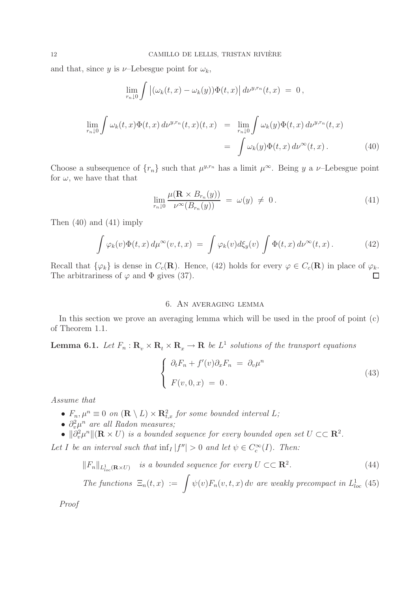and that, since y is  $\nu$ -Lebesgue point for  $\omega_k$ ,

$$
\lim_{r_n \downarrow 0} \int \left| (\omega_k(t, x) - \omega_k(y)) \Phi(t, x) \right| d\nu^{y, r_n}(t, x) = 0,
$$
\n
$$
\lim_{r_n \downarrow 0} \int \omega_k(t, x) \Phi(t, x) d\nu^{y, r_n}(t, x)(t, x) = \lim_{r_n \downarrow 0} \int \omega_k(y) \Phi(t, x) d\nu^{y, r_n}(t, x)
$$
\n
$$
= \int \omega_k(y) \Phi(t, x) d\nu^{\infty}(t, x).
$$
\n(40)

Choose a subsequence of  $\{r_n\}$  such that  $\mu^{y,r_n}$  has a limit  $\mu^{\infty}$ . Being y a v–Lebesgue point for  $\omega$ , we have that that

$$
\lim_{r_n \downarrow 0} \frac{\mu(\mathbf{R} \times B_{r_n}(y))}{\nu^{\infty}(B_{r_n}(y))} = \omega(y) \neq 0.
$$
\n(41)

Then (40) and (41) imply

$$
\int \varphi_k(v)\Phi(t,x)\,d\mu^\infty(v,t,x) \;=\; \int \varphi_k(v)d\xi_y(v)\,\int \Phi(t,x)\,d\nu^\infty(t,x)\,. \tag{42}
$$

Recall that  $\{\varphi_k\}$  is dense in  $C_c(\mathbf{R})$ . Hence, (42) holds for every  $\varphi \in C_c(\mathbf{R})$  in place of  $\varphi_k$ . The arbitrariness of  $\varphi$  and  $\Phi$  gives (37).  $\Box$ 

# 6. An averaging lemma

In this section we prove an averaging lemma which will be used in the proof of point (c) of Theorem 1.1.

**Lemma 6.1.** *Let*  $F_n$ :  $\mathbf{R}_v \times \mathbf{R}_t \times \mathbf{R}_x \to \mathbf{R}$  *be*  $L^1$  *solutions of the transport equations* 

$$
\begin{cases} \partial_t F_n + f'(v)\partial_x F_n = \partial_v \mu^n \\ F(v, 0, x) = 0. \end{cases}
$$
\n(43)

*Assume that*

- $F_n, \mu^n \equiv 0$  on  $(\mathbf{R} \setminus L) \times \mathbf{R}^2_{t,x}$  for some bounded interval L;
- $\partial_v^2 \mu^n$  are all Radon measures;
- $\|\partial_v^2\mu^n\|(\mathbf{R}\times U)$  *is a bounded sequence for every bounded open set*  $U \subset \subset \mathbf{R}^2$ .

Let I be an interval such that  $\inf_I |f''| > 0$  and let  $\psi \in C_c^{\infty}(I)$ . Then:

$$
||F_n||_{L^1_{loc}(\mathbf{R}\times U)} \quad is \ a \ bounded \ sequence \ for \ every \ U \subset\subset \mathbf{R}^2. \tag{44}
$$

The functions 
$$
\Xi_n(t, x) := \int \psi(v) F_n(v, t, x) dv
$$
 are weakly precompact in  $L^1_{loc}$  (45)

*Proof*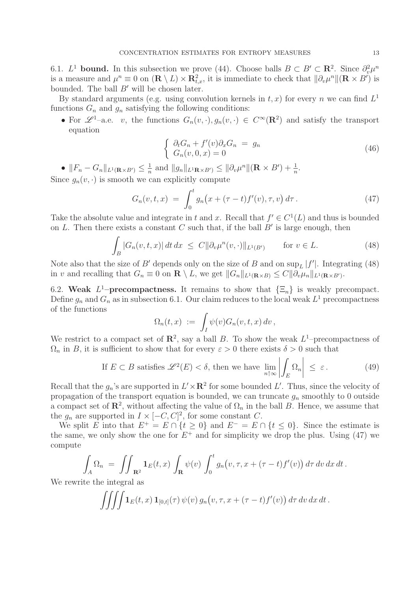6.1.  $L^1$  **bound.** In this subsection we prove (44). Choose balls  $B \subset B' \subset \mathbb{R}^2$ . Since  $\partial_v^2 \mu^n$ is a measure and  $\mu^n \equiv 0$  on  $(\mathbf{R} \setminus L) \times \mathbf{R}_{t,x}^2$ , it is immediate to check that  $\|\partial_v \mu^n\|(\mathbf{R} \times B')$  is bounded. The ball  $B'$  will be chosen later.

By standard arguments (e.g. using convolution kernels in  $t, x$ ) for every n we can find  $L<sup>1</sup>$ functions  $G_n$  and  $g_n$  satisfying the following conditions:

• For  $\mathscr{L}^1$ –a.e. v, the functions  $G_n(v, \cdot), g_n(v, \cdot) \in C^\infty(\mathbb{R}^2)$  and satisfy the transport equation

$$
\begin{cases}\n\partial_t G_n + f'(v)\partial_x G_n = g_n \\
G_n(v, 0, x) = 0\n\end{cases}
$$
\n(46)

•  $||F_n - G_n||_{L^1(\mathbf{R} \times B')} \leq \frac{1}{n}$  and  $||g_n||_{L^1\mathbf{R} \times B'} \leq ||\partial_v \mu^n||(\mathbf{R} \times B') + \frac{1}{n}$ .

Since  $g_n(v, \cdot)$  is smooth we can explicitly compute

$$
G_n(v, t, x) = \int_0^t g_n(x + (\tau - t) f'(v), \tau, v) d\tau.
$$
 (47)

Take the absolute value and integrate in t and x. Recall that  $f' \in C^1(L)$  and thus is bounded on L. Then there exists a constant C such that, if the ball  $B'$  is large enough, then

$$
\int_{B} |G_n(v, t, x)| dt dx \leq C ||\partial_v \mu^n(v, \cdot)||_{L^1(B')} \qquad \text{for } v \in L.
$$
 (48)

Note also that the size of B' depends only on the size of B and on  $\sup_L |f'|$ . Integrating (48) in v and recalling that  $G_n \equiv 0$  on  $\mathbf{R} \setminus L$ , we get  $||G_n||_{L^1(\mathbf{R}\times B)} \leq C||\partial_v \mu_n||_{L^1(\mathbf{R}\times B')}$ .

6.2. **Weak**  $L^1$ –**precompactness.** It remains to show that  $\{\Xi_n\}$  is weakly precompact. Define  $g_n$  and  $G_n$  as in subsection 6.1. Our claim reduces to the local weak  $L^1$  precompactness of the functions

$$
\Omega_n(t,x) := \int_I \psi(v) G_n(v,t,x) dv,
$$

We restrict to a compact set of  $\mathbb{R}^2$ , say a ball B. To show the weak  $L^1$ –precompactness of  $\Omega_n$  in B, it is sufficient to show that for every  $\varepsilon > 0$  there exists  $\delta > 0$  such that

If 
$$
E \subset B
$$
 satisfies  $\mathscr{L}^2(E) < \delta$ , then we have  $\lim_{n \uparrow \infty} \left| \int_E \Omega_n \right| \leq \varepsilon$ . (49)

Recall that the  $g_n$ 's are supported in  $L' \times \mathbb{R}^2$  for some bounded L'. Thus, since the velocity of propagation of the transport equation is bounded, we can truncate  $q_n$  smoothly to 0 outside a compact set of  $\mathbb{R}^2$ , without affecting the value of  $\Omega_n$  in the ball B. Hence, we assume that the  $g_n$  are supported in  $I \times [-C, C]^2$ , for some constant C.

We split E into that  $E^+ = E \cap \{t \geq 0\}$  and  $E^- = E \cap \{t \leq 0\}$ . Since the estimate is the same, we only show the one for  $E^+$  and for simplicity we drop the plus. Using (47) we compute

$$
\int_A \Omega_n = \iint_{\mathbf{R}^2} \mathbf{1}_E(t,x) \int_{\mathbf{R}} \psi(v) \int_0^t g_n(v,\tau,x+(\tau-t)f'(v)) d\tau dv dx dt.
$$

We rewrite the integral as

$$
\iiint \mathbf{1}_E(t,x) \mathbf{1}_{[0,t]}(\tau) \psi(v) g_n(v,\tau,x+(\tau-t) f'(v)) d\tau dv dx dt.
$$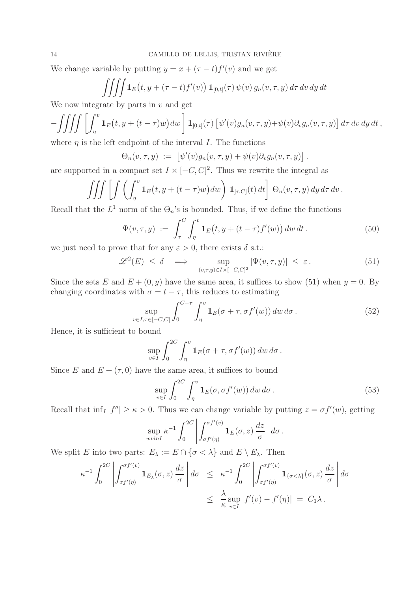We change variable by putting  $y = x + (\tau - t) f'(v)$  and we get

$$
\iiint \mathbf{1}_E(t, y + (\tau - t) f'(v)) \mathbf{1}_{[0,t]}(\tau) \psi(v) g_n(v, \tau, y) d\tau dv dy dt
$$

We now integrate by parts in  $v$  and get

$$
-\iiint\iiint\left[\int_{\eta}^{v}\mathbf{1}_{E}(t,y+(t-\tau)w)dw\right]\mathbf{1}_{[0,t]}(\tau)\left[\psi'(v)g_{n}(v,\tau,y)+\psi(v)\partial_{v}g_{n}(v,\tau,y)\right]d\tau dv dy dt,
$$
  
where *n* is the left endpoint of the interval *I*. The functions

where  $\eta$  is the left endpoint of the interval I. The functions

$$
\Theta_n(v,\tau,y) := \left[ \psi'(v) g_n(v,\tau,y) + \psi(v) \partial_v g_n(v,\tau,y) \right].
$$

are supported in a compact set  $I \times [-C, C]^2$ . Thus we rewrite the integral as

$$
\iiint \left[ \int \left( \int_{\eta}^{v} \mathbf{1}_{E}(t, y + (t - \tau) w) dw \right) \mathbf{1}_{] \tau, C]}(t) dt \right] \Theta_{n}(v, \tau, y) dy d\tau dv.
$$

Recall that the  $L^1$  norm of the  $\Theta_n$ 's is bounded. Thus, if we define the functions

$$
\Psi(v,\tau,y) := \int_{\tau}^{C} \int_{\eta}^{v} \mathbf{1}_{E}\big(t,y+(t-\tau)f'(w)\big) \, dw \, dt \,. \tag{50}
$$

we just need to prove that for any  $\varepsilon > 0$ , there exists  $\delta$  s.t.:

$$
\mathcal{L}^{2}(E) \leq \delta \implies \sup_{(v,\tau,y)\in I\times[-C,C]^2} |\Psi(v,\tau,y)| \leq \varepsilon.
$$
 (51)

Since the sets E and  $E + (0, y)$  have the same area, it suffices to show (51) when  $y = 0$ . By changing coordinates with  $\sigma = t - \tau$ , this reduces to estimating

$$
\sup_{v \in I, \tau \in [-C, C]} \int_0^{C - \tau} \int_{\eta}^v \mathbf{1}_E(\sigma + \tau, \sigma f'(w)) \, dw \, d\sigma \, . \tag{52}
$$

Hence, it is sufficient to bound

$$
\sup_{v \in I} \int_0^{2C} \int_\eta^v \mathbf{1}_E(\sigma + \tau, \sigma f'(w)) \, dw \, d\sigma \, .
$$

Since E and  $E + (\tau, 0)$  have the same area, it suffices to bound

$$
\sup_{v \in I} \int_0^{2C} \int_\eta^v \mathbf{1}_E(\sigma, \sigma f'(w)) \, dw \, d\sigma \,. \tag{53}
$$

Recall that  $\inf_I |f''| \geq \kappa > 0$ . Thus we can change variable by putting  $z = \sigma f'(w)$ , getting

$$
\sup_{wvinI} \kappa^{-1} \int_0^{2C} \left| \int_{\sigma f'(\eta)}^{\sigma f'(v)} \mathbf{1}_E(\sigma, z) \frac{dz}{\sigma} \right| d\sigma.
$$

We split E into two parts:  $E_{\lambda} := E \cap {\sigma < \lambda}$  and  $E \setminus E_{\lambda}$ . Then

$$
\kappa^{-1} \int_0^{2C} \left| \int_{\sigma f'(\eta)}^{\sigma f'(v)} \mathbf{1}_{E_\lambda}(\sigma, z) \frac{dz}{\sigma} \right| d\sigma \leq \kappa^{-1} \int_0^{2C} \left| \int_{\sigma f'(\eta)}^{\sigma f'(v)} \mathbf{1}_{\{\sigma < \lambda\}}(\sigma, z) \frac{dz}{\sigma} \right| d\sigma
$$
  

$$
\leq \frac{\lambda}{\kappa} \sup_{v \in I} |f'(v) - f'(\eta)| = C_1 \lambda.
$$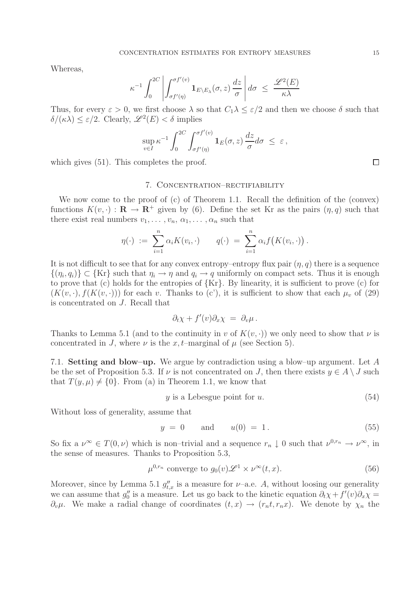Whereas,

$$
\kappa^{-1} \int_0^{2C} \left| \int_{\sigma f'(\eta)}^{\sigma f'(v)} \mathbf{1}_{E \setminus E_\lambda}(\sigma, z) \frac{dz}{\sigma} \right| d\sigma \leq \frac{\mathscr{L}^2(E)}{\kappa \lambda}
$$

Thus, for every  $\varepsilon > 0$ , we first choose  $\lambda$  so that  $C_1 \lambda \leq \varepsilon/2$  and then we choose  $\delta$  such that  $\delta/(\kappa\lambda) \leq \varepsilon/2$ . Clearly,  $\mathscr{L}^2(E) \leq \delta$  implies

$$
\sup_{v\in I} \kappa^{-1} \int_0^{2C} \int_{\sigma f'(\eta)}^{\sigma f'(v)} {\bf 1}_E(\sigma,z) \, \frac{dz}{\sigma} d\sigma \ \leq \ \varepsilon \, ,
$$

which gives  $(51)$ . This completes the proof.

#### 7. Concentration–rectifiability

We now come to the proof of (c) of Theorem 1.1. Recall the definition of the (convex) functions  $K(v, \cdot): \mathbf{R} \to \mathbf{R}^+$  given by (6). Define the set Kr as the pairs  $(\eta, q)$  such that there exist real numbers  $v_1, \ldots, v_n, \alpha_1, \ldots, \alpha_n$  such that

$$
\eta(\cdot) \; := \; \sum_{i=1}^n \alpha_i K(v_i, \cdot) \qquad q(\cdot) \; = \; \sum_{i=1}^n \alpha_i f\bigl(K(v_i, \cdot)\bigr) \, .
$$

It is not difficult to see that for any convex entropy–entropy flux pair  $(\eta, q)$  there is a sequence  $\{(n_i, q_i)\}\subset \{Kr\}$  such that  $\eta_i \to \eta$  and  $q_i \to q$  uniformly on compact sets. Thus it is enough to prove that (c) holds for the entropies of {Kr}. By linearity, it is sufficient to prove (c) for  $(K(v, \cdot), f(K(v, \cdot)))$  for each v. Thanks to (c'), it is sufficient to show that each  $\mu_v$  of (29) is concentrated on J. Recall that

$$
\partial_t \chi + f'(v) \partial_x \chi = \partial_v \mu \, .
$$

Thanks to Lemma 5.1 (and to the continuity in v of  $K(v, \cdot)$ ) we only need to show that v is concentrated in J, where  $\nu$  is the x, t–marginal of  $\mu$  (see Section 5).

7.1. **Setting and blow–up.** We argue by contradiction using a blow–up argument. Let A be the set of Proposition 5.3. If  $\nu$  is not concentrated on J, then there exists  $y \in A \setminus J$  such that  $T(y, \mu) \neq \{0\}$ . From (a) in Theorem 1.1, we know that

$$
y \t{is a Lebesgue point for } u. \t(54)
$$

Without loss of generality, assume that

$$
y = 0
$$
 and  $u(0) = 1$ . (55)

So fix a  $\nu^{\infty} \in T(0,\nu)$  which is non–trivial and a sequence  $r_n \downarrow 0$  such that  $\nu^{0,r_n} \to \nu^{\infty}$ , in the sense of measures. Thanks to Proposition 5.3,

$$
\mu^{0,r_n} \text{ converge to } g_0(v) \mathcal{L}^1 \times \nu^\infty(t, x). \tag{56}
$$

Moreover, since by Lemma 5.1  $g''_{t,x}$  is a measure for  $\nu$ -a.e. A, without loosing our generality we can assume that  $g''_0$  is a measure. Let us go back to the kinetic equation  $\partial_t \chi + f'(v)\partial_x \chi =$  $\partial_{\nu}\mu$ . We make a radial change of coordinates  $(t, x) \rightarrow (r_n t, r_n x)$ . We denote by  $\chi_n$  the

 $\Box$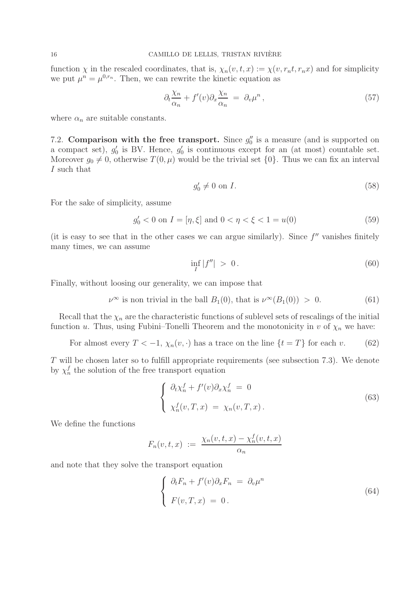function  $\chi$  in the rescaled coordinates, that is,  $\chi_n(v, t, x) := \chi(v, r_n t, r_n x)$  and for simplicity we put  $\mu^n = \mu^{0,r_n}$ . Then, we can rewrite the kinetic equation as

$$
\partial_t \frac{\chi_n}{\alpha_n} + f'(v) \partial_x \frac{\chi_n}{\alpha_n} = \partial_v \mu^n , \qquad (57)
$$

where  $\alpha_n$  are suitable constants.

7.2. **Comparison with the free transport.** Since  $g''_0$  is a measure (and is supported on a compact set),  $g'_0$  is BV. Hence,  $g'_0$  is continuous except for an (at most) countable set. Moreover  $g_0 \neq 0$ , otherwise  $T(0, \mu)$  would be the trivial set  $\{0\}$ . Thus we can fix an interval I such that

$$
g_0' \neq 0 \text{ on } I. \tag{58}
$$

For the sake of simplicity, assume

$$
g'_0 < 0 \text{ on } I = [\eta, \xi] \text{ and } 0 < \eta < \xi < 1 = u(0) \tag{59}
$$

(it is easy to see that in the other cases we can argue similarly). Since  $f''$  vanishes finitely many times, we can assume

$$
\inf_{I} |f''| > 0. \tag{60}
$$

Finally, without loosing our generality, we can impose that

 $\nu^{\infty}$  is non trivial in the ball  $B_1(0)$ , that is  $\nu^{\infty}(B_1(0)) > 0$ . (61)

Recall that the  $\chi_n$  are the characteristic functions of sublevel sets of rescalings of the initial function u. Thus, using Fubini–Tonelli Theorem and the monotonicity in v of  $\chi_n$  we have:

For almost every  $T < -1$ ,  $\chi_n(v, \cdot)$  has a trace on the line  $\{t = T\}$  for each v. (62)

T will be chosen later so to fulfill appropriate requirements (see subsection 7.3). We denote by  $\chi_n^f$  the solution of the free transport equation

$$
\begin{cases}\n\partial_t \chi_n^f + f'(v) \partial_x \chi_n^f = 0 \\
\chi_n^f(v, T, x) = \chi_n(v, T, x).\n\end{cases}
$$
\n(63)

We define the functions

$$
F_n(v, t, x) := \frac{\chi_n(v, t, x) - \chi_n^f(v, t, x)}{\alpha_n}
$$

and note that they solve the transport equation

$$
\begin{cases} \partial_t F_n + f'(v)\partial_x F_n = \partial_v \mu^n \\ F(v, T, x) = 0. \end{cases}
$$
\n(64)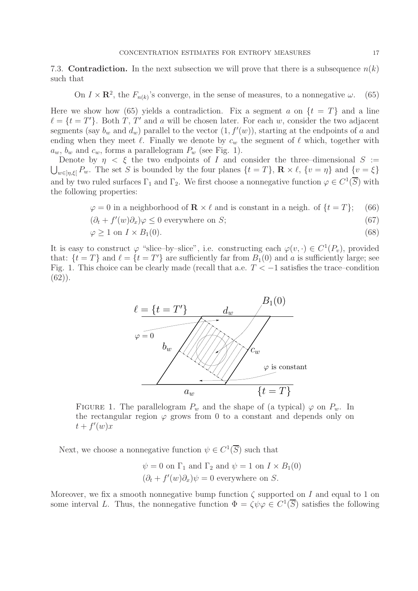7.3. **Contradiction.** In the next subsection we will prove that there is a subsequence  $n(k)$ such that

On 
$$
I \times \mathbb{R}^2
$$
, the  $F_{n(k)}$ 's converge, in the sense of measures, to a nonnegative  $\omega$ . (65)

Here we show how (65) yields a contradiction. Fix a segment a on  $\{t = T\}$  and a line  $\ell = \{t = T'\}.$  Both T, T' and a will be chosen later. For each w, consider the two adjacent segments (say  $b_w$  and  $d_w$ ) parallel to the vector  $(1, f'(w))$ , starting at the endpoints of a and ending when they meet  $\ell$ . Finally we denote by  $c_w$  the segment of  $\ell$  which, together with  $a_w$ ,  $b_w$  and  $c_w$ , forms a parallelogram  $P_w$  (see Fig. 1).

Denote by  $\eta < \xi$  the two endpoints of I and consider the three–dimensional  $S :=$  $\bigcup_{w\in[\eta,\xi]} P_w$ . The set S is bounded by the four planes  $\{t=T\}$ ,  $\mathbf{R}\times\ell$ ,  $\{v=\eta\}$  and  $\{v=\xi\}$ and by two ruled surfaces  $\Gamma_1$  and  $\Gamma_2$ . We first choose a nonnegative function  $\varphi \in C^1(\overline{S})$  with the following properties:

$$
\varphi = 0 \text{ in a neighborhood of } \mathbf{R} \times \ell \text{ and is constant in a neigh. of } \{t = T\}; \quad (66)
$$
  

$$
(\partial_t + f'(w)\partial_x)\varphi \le 0 \text{ everywhere on } S; \quad (\text{67})
$$
  

$$
\varphi \ge 1 \text{ on } I \times B_1(0). \quad (68)
$$

It is easy to construct  $\varphi$  "slice–by–slice", i.e. constructing each  $\varphi(v, \cdot) \in C^1(P_v)$ , provided that:  $\{t = T\}$  and  $\ell = \{t = T'\}$  are sufficiently far from  $B_1(0)$  and a is sufficiently large; see Fig. 1. This choice can be clearly made (recall that a.e.  $T < -1$  satisfies the trace–condition (62)).



FIGURE 1. The parallelogram  $P_w$  and the shape of (a typical)  $\varphi$  on  $P_w$ . In the rectangular region  $\varphi$  grows from 0 to a constant and depends only on  $t + f'(w)x$ 

Next, we choose a nonnegative function  $\psi \in C^1(\overline{S})$  such that

$$
\psi = 0
$$
 on  $\Gamma_1$  and  $\Gamma_2$  and  $\psi = 1$  on  $I \times B_1(0)$   
 $(\partial_t + f'(w)\partial_x)\psi = 0$  everywhere on *S*.

Moreover, we fix a smooth nonnegative bump function  $\zeta$  supported on I and equal to 1 on some interval L. Thus, the nonnegative function  $\Phi = \zeta \psi \varphi \in C^1(\overline{S})$  satisfies the following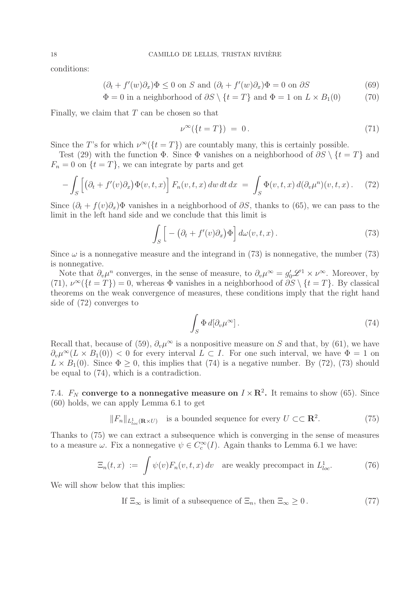conditions:

$$
(\partial_t + f'(w)\partial_x)\Phi \le 0 \text{ on } S \text{ and } (\partial_t + f'(w)\partial_x)\Phi = 0 \text{ on } \partial S
$$
 (69)

$$
\Phi = 0 \text{ in a neighborhood of } \partial S \setminus \{t = T\} \text{ and } \Phi = 1 \text{ on } L \times B_1(0) \tag{70}
$$

Finally, we claim that  $T$  can be chosen so that

$$
\nu^{\infty}(\{t=T\}) = 0. \tag{71}
$$

Since the T's for which  $\nu^{\infty}(\{t = T\})$  are countably many, this is certainly possible.

Test (29) with the function  $\Phi$ . Since  $\Phi$  vanishes on a neighborhood of  $\partial S \setminus \{t = T\}$  and  $F_n = 0$  on  $\{t = T\}$ , we can integrate by parts and get

$$
- \int_{S} \left[ \left( \partial_t + f'(v) \partial_x \right) \Phi(v, t, x) \right] F_n(v, t, x) \, dw \, dt \, dx \ = \ \int_{S} \Phi(v, t, x) \, d(\partial_v \mu^n)(v, t, x) \,. \tag{72}
$$

Since  $(\partial_t + f(v)\partial_x)\Phi$  vanishes in a neighborhood of  $\partial S$ , thanks to (65), we can pass to the limit in the left hand side and we conclude that this limit is

$$
\int_{S} \left[ -(\partial_{t} + f'(v)\partial_{x}) \Phi \right] d\omega(v, t, x). \tag{73}
$$

Since  $\omega$  is a nonnegative measure and the integrand in (73) is nonnegative, the number (73) is nonnegative.

Note that  $\partial_{\nu}\mu^{n}$  converges, in the sense of measure, to  $\partial_{\nu}\mu^{\infty} = g'_{0}\mathscr{L}^{1} \times \nu^{\infty}$ . Moreover, by (71),  $\nu^{\infty}({t = T}) = 0$ , whereas  $\Phi$  vanishes in a neighborhood of  $\partial S \setminus {t = T}$ . By classical theorems on the weak convergence of measures, these conditions imply that the right hand side of (72) converges to

$$
\int_{S} \Phi \, d[\partial_{\nu} \mu^{\infty}]. \tag{74}
$$

Recall that, because of (59),  $\partial_{\nu}\mu^{\infty}$  is a nonpositive measure on S and that, by (61), we have  $\partial_{\nu}\mu^{\infty}(L \times B_1(0))$  < 0 for every interval  $L \subset I$ . For one such interval, we have  $\Phi = 1$  on  $L \times B_1(0)$ . Since  $\Phi \geq 0$ , this implies that (74) is a negative number. By (72), (73) should be equal to (74), which is a contradiction.

7.4.  $F_N$  **converge to a nonnegative measure on**  $I \times \mathbb{R}^2$ . It remains to show (65). Since (60) holds, we can apply Lemma 6.1 to get

$$
||F_n||_{L^1_{loc}(\mathbf{R}\times U)}
$$
 is a bounded sequence for every  $U \subset \mathbf{R}^2$ . (75)

Thanks to (75) we can extract a subsequence which is converging in the sense of measures to a measure  $\omega$ . Fix a nonnegative  $\psi \in C_c^{\infty}(I)$ . Again thanks to Lemma 6.1 we have:

$$
\Xi_n(t,x) := \int \psi(v) F_n(v,t,x) \, dv \quad \text{are weakly precompact in } L^1_{loc}.\tag{76}
$$

We will show below that this implies:

If 
$$
\Xi_{\infty}
$$
 is limit of a subsequence of  $\Xi_n$ , then  $\Xi_{\infty} \ge 0$ . (77)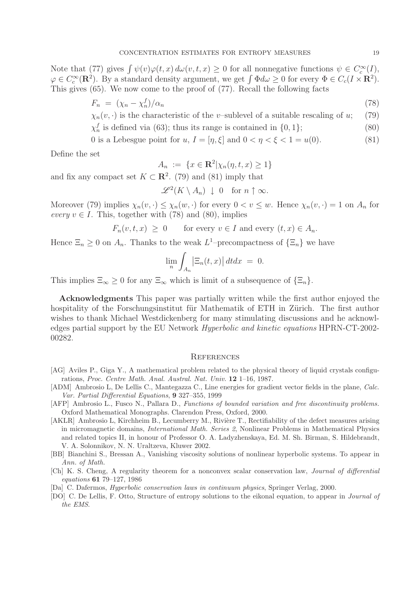Note that (77) gives  $\int \psi(v)\varphi(t,x) d\omega(v,t,x) \geq 0$  for all nonnegative functions  $\psi \in C_c^{\infty}(I)$ ,  $\varphi \in C_c^{\infty}(\mathbf{R}^2)$ . By a standard density argument, we get  $\int \Phi d\omega \geq 0$  for every  $\Phi \in C_c(I \times \mathbf{R}^2)$ . This gives (65). We now come to the proof of (77). Recall the following facts

$$
F_n = (\chi_n - \chi_n^f)/\alpha_n \tag{78}
$$

 $\chi_n(v, \cdot)$  is the characteristic of the v–sublevel of a suitable rescaling of u; (79)

 $\chi_n^f$  is defined via (63); thus its range is contained in  $\{0, 1\}$ ; (80)

0 is a Lebesgue point for  $u, I = [\eta, \xi]$  and  $0 < \eta < \xi < 1 = u(0)$ . (81)

Define the set

$$
A_n := \{ x \in \mathbf{R}^2 | \chi_n(\eta, t, x) \ge 1 \}
$$

and fix any compact set  $K \subset \mathbb{R}^2$ . (79) and (81) imply that

$$
\mathscr{L}^2(K \setminus A_n) \downarrow 0 \text{ for } n \uparrow \infty.
$$

Moreover (79) implies  $\chi_n(v, \cdot) \leq \chi_n(w, \cdot)$  for every  $0 < v \leq w$ . Hence  $\chi_n(v, \cdot) = 1$  on  $A_n$  for *every*  $v \in I$ . This, together with (78) and (80), implies

$$
F_n(v, t, x) \ge 0
$$
 for every  $v \in I$  and every  $(t, x) \in A_n$ .

Hence  $\Xi_n \geq 0$  on  $A_n$ . Thanks to the weak  $L^1$ –precompactness of  $\{\Xi_n\}$  we have

$$
\lim_{n}\int_{A_n} \left|\Xi_n(t,x)\right| dt dx = 0.
$$

This implies  $\Xi_{\infty} \geq 0$  for any  $\Xi_{\infty}$  which is limit of a subsequence of  $\{\Xi_n\}$ .

**Acknowledgments** This paper was partially written while the first author enjoyed the hospitality of the Forschungsinstitut für Mathematik of ETH in Zürich. The first author wishes to thank Michael Westdickenberg for many stimulating discussions and he acknowledges partial support by the EU Network *Hyperbolic and kinetic equations* HPRN-CT-2002- 00282.

# **REFERENCES**

- [AG] Aviles P., Giga Y., A mathematical problem related to the physical theory of liquid crystals configurations, *Proc. Centre Math. Anal. Austral. Nat. Univ.* **12** 1–16, 1987.
- [ADM] Ambrosio L, De Lellis C., Mantegazza C., Line energies for gradient vector fields in the plane, *Calc. Var. Partial Differential Equations*, **9** 327–355, 1999
- [AFP] Ambrosio L., Fusco N., Pallara D., *Functions of bounded variation and free discontinuity problems.* Oxford Mathematical Monographs. Clarendon Press, Oxford, 2000.
- [AKLR] Ambrosio L, Kirchheim B., Lecumberry M., Rivière T., Rectifiability of the defect measures arising in micromagnetic domains, *International Math. Series 2*, Nonlinear Problems in Mathematical Physics and related topics II, in honour of Professor O. A. Ladyzhenskaya, Ed. M. Sh. Birman, S. Hildebrandt, V. A. Solonnikov, N. N. Uraltzeva, Kluwer 2002.
- [BB] Bianchini S., Bressan A., Vanishing viscosity solutions of nonlinear hyperbolic systems. To appear in *Ann. of Math.*
- [Ch] K. S. Cheng, A regularity theorem for a nonconvex scalar conservation law, *Journal of differential equations* **61** 79–127, 1986
- [Da] C. Dafermos, *Hyperbolic conservation laws in continuum physics*, Springer Verlag, 2000.
- [DO] C. De Lellis, F. Otto, Structure of entropy solutions to the eikonal equation, to appear in *Journal of the EMS*.